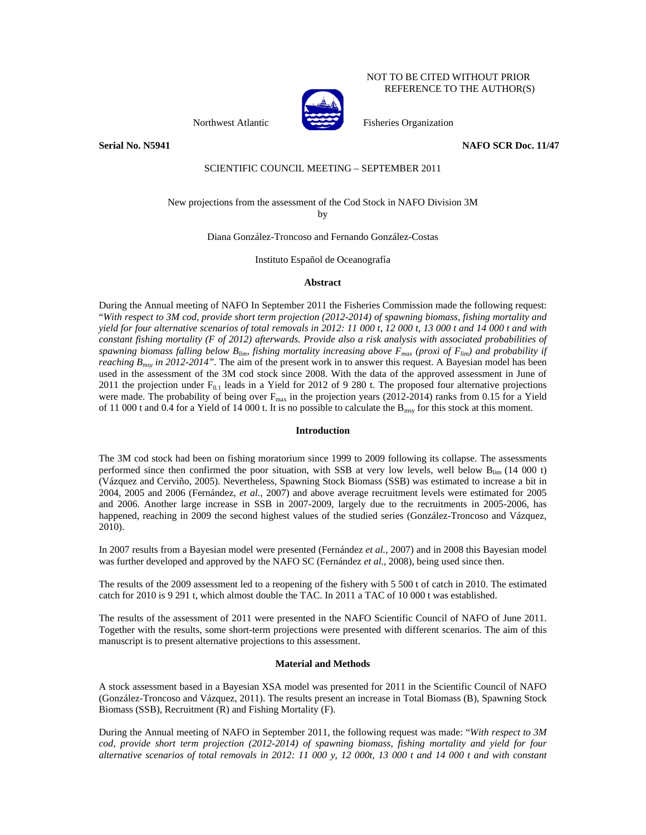### NOT TO BE CITED WITHOUT PRIOR REFERENCE TO THE AUTHOR(S)



Northwest Atlantic Fisheries Organization

**Serial No. N5941 NAFO SCR Doc. 11/47** 

## SCIENTIFIC COUNCIL MEETING – SEPTEMBER 2011

# New projections from the assessment of the Cod Stock in NAFO Division 3M

by

Diana González-Troncoso and Fernando González-Costas

Instituto Español de Oceanografía

#### **Abstract**

During the Annual meeting of NAFO In September 2011 the Fisheries Commission made the following request: "*With respect to 3M cod, provide short term projection (2012-2014) of spawning biomass, fishing mortality and yield for four alternative scenarios of total removals in 2012: 11 000 t, 12 000 t, 13 000 t and 14 000 t and with constant fishing mortality (F of 2012) afterwards. Provide also a risk analysis with associated probabilities of*  spawning biomass falling below  $B_{lim}$ , fishing mortality increasing above  $F_{max}$  (proxi of  $F_{lim}$ ) and probability if *reaching B<sub>msy</sub> in 2012-2014"*. The aim of the present work in to answer this request. A Bayesian model has been used in the assessment of the 3M cod stock since 2008. With the data of the approved assessment in June of 2011 the projection under  $F_{0,1}$  leads in a Yield for 2012 of 9 280 t. The proposed four alternative projections were made. The probability of being over  $F_{\text{max}}$  in the projection years (2012-2014) ranks from 0.15 for a Yield of 11 000 t and 0.4 for a Yield of 14 000 t. It is no possible to calculate the  $B_{\text{msy}}$  for this stock at this moment.

#### **Introduction**

The 3M cod stock had been on fishing moratorium since 1999 to 2009 following its collapse. The assessments performed since then confirmed the poor situation, with SSB at very low levels, well below  $B_{\text{lim}}$  (14 000 t) (Vázquez and Cerviño, 2005). Nevertheless, Spawning Stock Biomass (SSB) was estimated to increase a bit in 2004, 2005 and 2006 (Fernández, *et al.*, 2007) and above average recruitment levels were estimated for 2005 and 2006. Another large increase in SSB in 2007-2009, largely due to the recruitments in 2005-2006, has happened, reaching in 2009 the second highest values of the studied series (González-Troncoso and Vázquez, 2010).

In 2007 results from a Bayesian model were presented (Fernández *et al.*, 2007) and in 2008 this Bayesian model was further developed and approved by the NAFO SC (Fernández *et al.*, 2008), being used since then.

The results of the 2009 assessment led to a reopening of the fishery with 5 500 t of catch in 2010. The estimated catch for 2010 is 9 291 t, which almost double the TAC. In 2011 a TAC of 10 000 t was established.

The results of the assessment of 2011 were presented in the NAFO Scientific Council of NAFO of June 2011. Together with the results, some short-term projections were presented with different scenarios. The aim of this manuscript is to present alternative projections to this assessment.

#### **Material and Methods**

A stock assessment based in a Bayesian XSA model was presented for 2011 in the Scientific Council of NAFO (González-Troncoso and Vázquez, 2011). The results present an increase in Total Biomass (B), Spawning Stock Biomass (SSB), Recruitment (R) and Fishing Mortality (F).

During the Annual meeting of NAFO in September 2011, the following request was made: "*With respect to 3M cod, provide short term projection (2012-2014) of spawning biomass, fishing mortality and yield for four alternative scenarios of total removals in 2012: 11 000 y, 12 000t, 13 000 t and 14 000 t and with constant*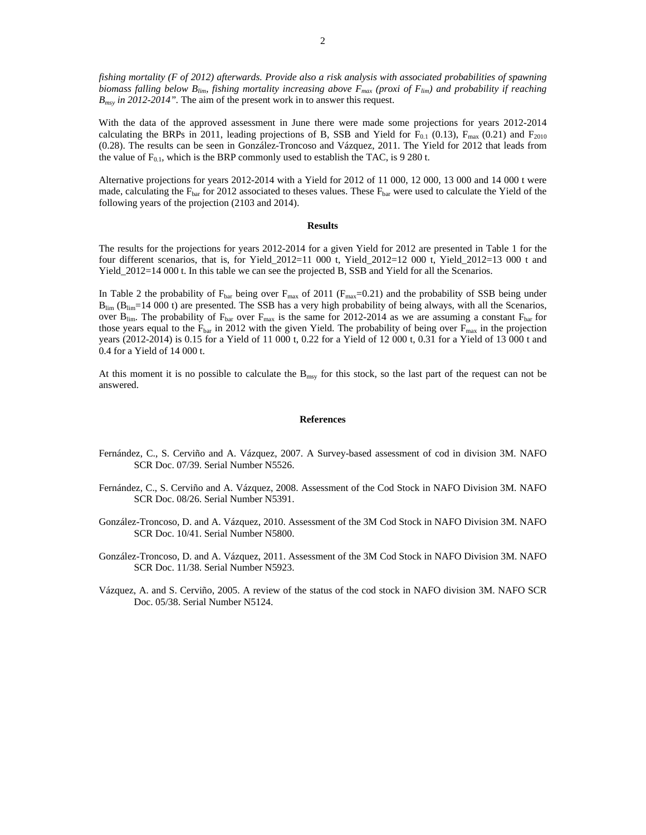*fishing mortality (F of 2012) afterwards. Provide also a risk analysis with associated probabilities of spawning biomass falling below B<sub>lim</sub>, fishing mortality increasing above F<sub>max</sub> (proxi of F<sub>lim</sub>) and probability if reaching B<sub>msy</sub> in 2012-2014"*. The aim of the present work in to answer this request.

With the data of the approved assessment in June there were made some projections for years 2012-2014 calculating the BRPs in 2011, leading projections of B, SSB and Yield for  $F_{0.1}$  (0.13),  $F_{\text{max}}$  (0.21) and  $F_{2010}$ (0.28). The results can be seen in González-Troncoso and Vázquez, 2011. The Yield for 2012 that leads from the value of  $F_{0.1}$ , which is the BRP commonly used to establish the TAC, is 9 280 t.

Alternative projections for years 2012-2014 with a Yield for 2012 of 11 000, 12 000, 13 000 and 14 000 t were made, calculating the  $F_{bar}$  for 2012 associated to theses values. These  $F_{bar}$  were used to calculate the Yield of the following years of the projection (2103 and 2014).

#### **Results**

The results for the projections for years 2012-2014 for a given Yield for 2012 are presented in Table 1 for the four different scenarios, that is, for Yield\_2012=11 000 t, Yield\_2012=12 000 t, Yield\_2012=13 000 t and Yield\_2012=14 000 t. In this table we can see the projected B, SSB and Yield for all the Scenarios.

In Table 2 the probability of  $F_{bar}$  being over  $F_{max}$  of 2011 ( $F_{max}$ =0.21) and the probability of SSB being under  $B_{lim}$  ( $B_{lim}$ =14 000 t) are presented. The SSB has a very high probability of being always, with all the Scenarios, over  $B_{lim}$ . The probability of  $F_{bar}$  over  $F_{max}$  is the same for 2012-2014 as we are assuming a constant  $F_{bar}$  for those years equal to the  $F_{bar}$  in 2012 with the given Yield. The probability of being over  $F_{max}$  in the projection years (2012-2014) is 0.15 for a Yield of 11 000 t, 0.22 for a Yield of 12 000 t, 0.31 for a Yield of 13 000 t and 0.4 for a Yield of 14 000 t.

At this moment it is no possible to calculate the B<sub>msy</sub> for this stock, so the last part of the request can not be answered.

#### **References**

- Fernández, C., S. Cerviño and A. Vázquez, 2007. A Survey-based assessment of cod in division 3M. NAFO SCR Doc. 07/39. Serial Number N5526.
- Fernández, C., S. Cerviño and A. Vázquez, 2008. Assessment of the Cod Stock in NAFO Division 3M. NAFO SCR Doc. 08/26. Serial Number N5391.
- González-Troncoso, D. and A. Vázquez, 2010. Assessment of the 3M Cod Stock in NAFO Division 3M. NAFO SCR Doc. 10/41. Serial Number N5800.
- González-Troncoso, D. and A. Vázquez, 2011. Assessment of the 3M Cod Stock in NAFO Division 3M. NAFO SCR Doc. 11/38. Serial Number N5923.
- Vázquez, A. and S. Cerviño, 2005. A review of the status of the cod stock in NAFO division 3M. NAFO SCR Doc. 05/38. Serial Number N5124.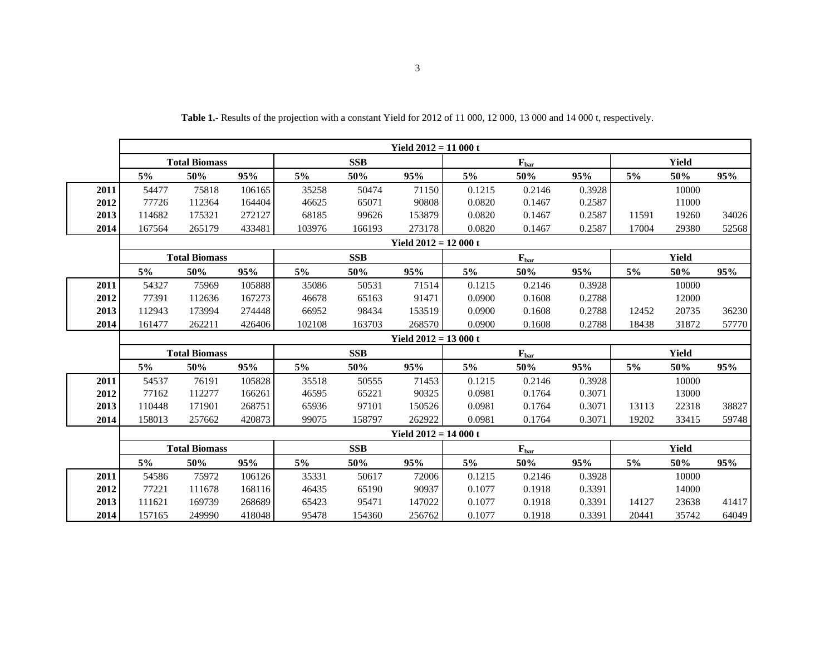|      | Yield $2012 = 11000$ t |        |        |            |        |                        |                           |        |        |       |       |       |
|------|------------------------|--------|--------|------------|--------|------------------------|---------------------------|--------|--------|-------|-------|-------|
|      | <b>Total Biomass</b>   |        |        | <b>SSB</b> |        |                        | $F_{bar}$                 |        |        | Yield |       |       |
|      | 5%                     | 50%    | 95%    | 5%         | 50%    | 95%                    | 5%                        | 50%    | 95%    | 5%    | 50%   | 95%   |
| 2011 | 54477                  | 75818  | 106165 | 35258      | 50474  | 71150                  | 0.1215                    | 0.2146 | 0.3928 |       | 10000 |       |
| 2012 | 77726                  | 112364 | 164404 | 46625      | 65071  | 90808                  | 0.0820                    | 0.1467 | 0.2587 |       | 11000 |       |
| 2013 | 114682                 | 175321 | 272127 | 68185      | 99626  | 153879                 | 0.0820                    | 0.1467 | 0.2587 | 11591 | 19260 | 34026 |
| 2014 | 167564                 | 265179 | 433481 | 103976     | 166193 | 273178                 | 0.0820                    | 0.1467 | 0.2587 | 17004 | 29380 | 52568 |
|      | Yield $2012 = 12000$ t |        |        |            |        |                        |                           |        |        |       |       |       |
|      | <b>Total Biomass</b>   |        |        | <b>SSB</b> |        |                        | $F_{bar}$                 |        |        | Yield |       |       |
|      | 5%                     | 50%    | 95%    | 5%         | 50%    | 95%                    | 5%                        | 50%    | 95%    | 5%    | 50%   | 95%   |
| 2011 | 54327                  | 75969  | 105888 | 35086      | 50531  | 71514                  | 0.1215                    | 0.2146 | 0.3928 |       | 10000 |       |
| 2012 | 77391                  | 112636 | 167273 | 46678      | 65163  | 91471                  | 0.0900                    | 0.1608 | 0.2788 |       | 12000 |       |
| 2013 | 112943                 | 173994 | 274448 | 66952      | 98434  | 153519                 | 0.0900                    | 0.1608 | 0.2788 | 12452 | 20735 | 36230 |
| 2014 | 161477                 | 262211 | 426406 | 102108     | 163703 | 268570                 | 0.0900                    | 0.1608 | 0.2788 | 18438 | 31872 | 57770 |
|      |                        |        |        |            |        | Yield $2012 = 13000$ t |                           |        |        |       |       |       |
|      | <b>Total Biomass</b>   |        |        | <b>SSB</b> |        |                        | $\mathbf{F}_{\text{bar}}$ |        |        | Yield |       |       |
|      | 5%                     | 50%    | 95%    | 5%         | 50%    | 95%                    | 5%                        | 50%    | 95%    | 5%    | 50%   | 95%   |
| 2011 | 54537                  | 76191  | 105828 | 35518      | 50555  | 71453                  | 0.1215                    | 0.2146 | 0.3928 |       | 10000 |       |
| 2012 | 77162                  | 112277 | 166261 | 46595      | 65221  | 90325                  | 0.0981                    | 0.1764 | 0.3071 |       | 13000 |       |
| 2013 | 110448                 | 171901 | 268751 | 65936      | 97101  | 150526                 | 0.0981                    | 0.1764 | 0.3071 | 13113 | 22318 | 38827 |
| 2014 | 158013                 | 257662 | 420873 | 99075      | 158797 | 262922                 | 0.0981                    | 0.1764 | 0.3071 | 19202 | 33415 | 59748 |
|      |                        |        |        |            |        | Yield $2012 = 14000$ t |                           |        |        |       |       |       |
|      | <b>Total Biomass</b>   |        |        | <b>SSB</b> |        |                        | $F_{bar}$                 |        |        | Yield |       |       |
|      | 5%                     | 50%    | 95%    | 5%         | 50%    | 95%                    | 5%                        | 50%    | 95%    | 5%    | 50%   | 95%   |
| 2011 | 54586                  | 75972  | 106126 | 35331      | 50617  | 72006                  | 0.1215                    | 0.2146 | 0.3928 |       | 10000 |       |
| 2012 | 77221                  | 111678 | 168116 | 46435      | 65190  | 90937                  | 0.1077                    | 0.1918 | 0.3391 |       | 14000 |       |
| 2013 | 111621                 | 169739 | 268689 | 65423      | 95471  | 147022                 | 0.1077                    | 0.1918 | 0.3391 | 14127 | 23638 | 41417 |
| 2014 | 157165                 | 249990 | 418048 | 95478      | 154360 | 256762                 | 0.1077                    | 0.1918 | 0.3391 | 20441 | 35742 | 64049 |

**Table 1.-** Results of the projection with a constant Yield for 2012 of 11 000, 12 000, 13 000 and 14 000 t, respectively.